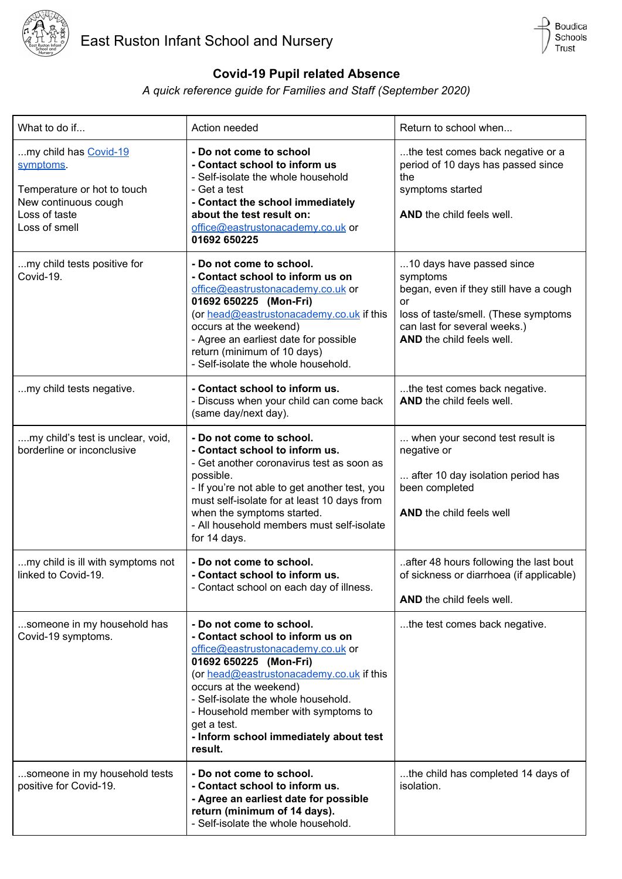



## **Covid-19 Pupil related Absence**

## *A quick reference guide for Families and Staff (September 2020)*

| What to do if                                                                                                               | Action needed                                                                                                                                                                                                                                                                                                                                       | Return to school when                                                                                                                                                                      |
|-----------------------------------------------------------------------------------------------------------------------------|-----------------------------------------------------------------------------------------------------------------------------------------------------------------------------------------------------------------------------------------------------------------------------------------------------------------------------------------------------|--------------------------------------------------------------------------------------------------------------------------------------------------------------------------------------------|
| my child has Covid-19<br>symptoms.<br>Temperature or hot to touch<br>New continuous cough<br>Loss of taste<br>Loss of smell | - Do not come to school<br>- Contact school to inform us<br>- Self-isolate the whole household<br>- Get a test<br>- Contact the school immediately<br>about the test result on:<br>office@eastrustonacademy.co.uk or<br>01692 650225                                                                                                                | the test comes back negative or a<br>period of 10 days has passed since<br>the<br>symptoms started<br>AND the child feels well.                                                            |
| my child tests positive for<br>Covid-19.                                                                                    | - Do not come to school.<br>- Contact school to inform us on<br>office@eastrustonacademy.co.uk or<br>01692 650225 (Mon-Fri)<br>(or head@eastrustonacademy.co.uk if this<br>occurs at the weekend)<br>- Agree an earliest date for possible<br>return (minimum of 10 days)<br>- Self-isolate the whole household.                                    | 10 days have passed since<br>symptoms<br>began, even if they still have a cough<br>or<br>loss of taste/smell. (These symptoms<br>can last for several weeks.)<br>AND the child feels well. |
| my child tests negative.                                                                                                    | - Contact school to inform us.<br>- Discuss when your child can come back<br>(same day/next day).                                                                                                                                                                                                                                                   | the test comes back negative.<br>AND the child feels well.                                                                                                                                 |
| my child's test is unclear, void,<br>borderline or inconclusive                                                             | - Do not come to school.<br>- Contact school to inform us.<br>- Get another coronavirus test as soon as<br>possible.<br>- If you're not able to get another test, you<br>must self-isolate for at least 10 days from<br>when the symptoms started.<br>- All household members must self-isolate<br>for 14 days.                                     | when your second test result is<br>negative or<br>after 10 day isolation period has<br>been completed<br>AND the child feels well                                                          |
| my child is ill with symptoms not<br>linked to Covid-19.                                                                    | - Do not come to school.<br>- Contact school to inform us.<br>- Contact school on each day of illness.                                                                                                                                                                                                                                              | after 48 hours following the last bout<br>of sickness or diarrhoea (if applicable)<br><b>AND</b> the child feels well.                                                                     |
| someone in my household has<br>Covid-19 symptoms.                                                                           | - Do not come to school.<br>- Contact school to inform us on<br>office@eastrustonacademy.co.uk or<br>01692 650225 (Mon-Fri)<br>(or head@eastrustonacademy.co.uk if this<br>occurs at the weekend)<br>- Self-isolate the whole household.<br>- Household member with symptoms to<br>get a test.<br>- Inform school immediately about test<br>result. | the test comes back negative.                                                                                                                                                              |
| someone in my household tests<br>positive for Covid-19.                                                                     | - Do not come to school.<br>- Contact school to inform us.<br>- Agree an earliest date for possible<br>return (minimum of 14 days).<br>- Self-isolate the whole household.                                                                                                                                                                          | the child has completed 14 days of<br>isolation.                                                                                                                                           |